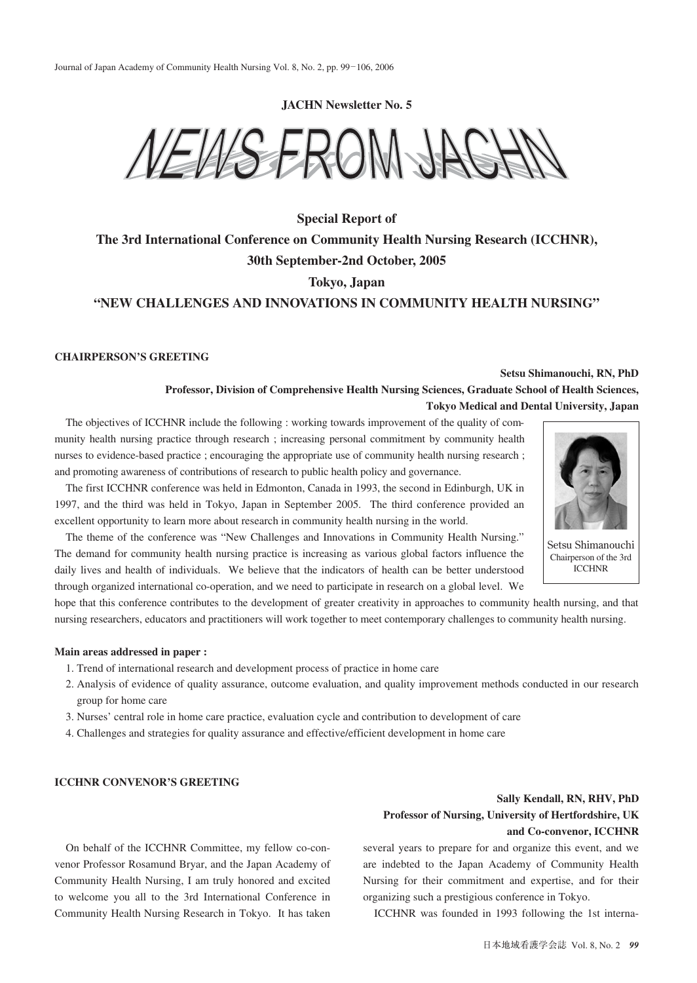**JACHN Newsletter No. 5**



# **Special Report of The 3rd International Conference on Community Health Nursing Research (ICCHNR), 30th September-2nd October, 2005 Tokyo, Japan "NEW CHALLENGES AND INNOVATIONS IN COMMUNITY HEALTH NURSING"**

#### **CHAIRPERSON'S GREETING**

## **Setsu Shimanouchi, RN, PhD**

**Professor, Division of Comprehensive Health Nursing Sciences, Graduate School of Health Sciences, Tokyo Medical and Dental University, Japan**

The objectives of ICCHNR include the following : working towards improvement of the quality of community health nursing practice through research ; increasing personal commitment by community health nurses to evidence-based practice ; encouraging the appropriate use of community health nursing research ; and promoting awareness of contributions of research to public health policy and governance.

The first ICCHNR conference was held in Edmonton, Canada in 1993, the second in Edinburgh, UK in 1997, and the third was held in Tokyo, Japan in September 2005. The third conference provided an excellent opportunity to learn more about research in community health nursing in the world.

The theme of the conference was "New Challenges and Innovations in Community Health Nursing." The demand for community health nursing practice is increasing as various global factors influence the daily lives and health of individuals. We believe that the indicators of health can be better understood through organized international co-operation, and we need to participate in research on a global level. We

hope that this conference contributes to the development of greater creativity in approaches to community health nursing, and that nursing researchers, educators and practitioners will work together to meet contemporary challenges to community health nursing.

### **Main areas addressed in paper :**

- 1. Trend of international research and development process of practice in home care
- 2. Analysis of evidence of quality assurance, outcome evaluation, and quality improvement methods conducted in our research group for home care
- 3. Nurses' central role in home care practice, evaluation cycle and contribution to development of care
- 4. Challenges and strategies for quality assurance and effective/efficient development in home care

#### **ICCHNR CONVENOR'S GREETING**

On behalf of the ICCHNR Committee, my fellow co-convenor Professor Rosamund Bryar, and the Japan Academy of Community Health Nursing, I am truly honored and excited to welcome you all to the 3rd International Conference in Community Health Nursing Research in Tokyo. It has taken

# **Sally Kendall, RN, RHV, PhD Professor of Nursing, University of Hertfordshire, UK and Co-convenor, ICCHNR**

several years to prepare for and organize this event, and we are indebted to the Japan Academy of Community Health Nursing for their commitment and expertise, and for their organizing such a prestigious conference in Tokyo.

ICCHNR was founded in 1993 following the 1st interna-



Setsu Shimanouchi Chairperson of the 3rd ICCHNR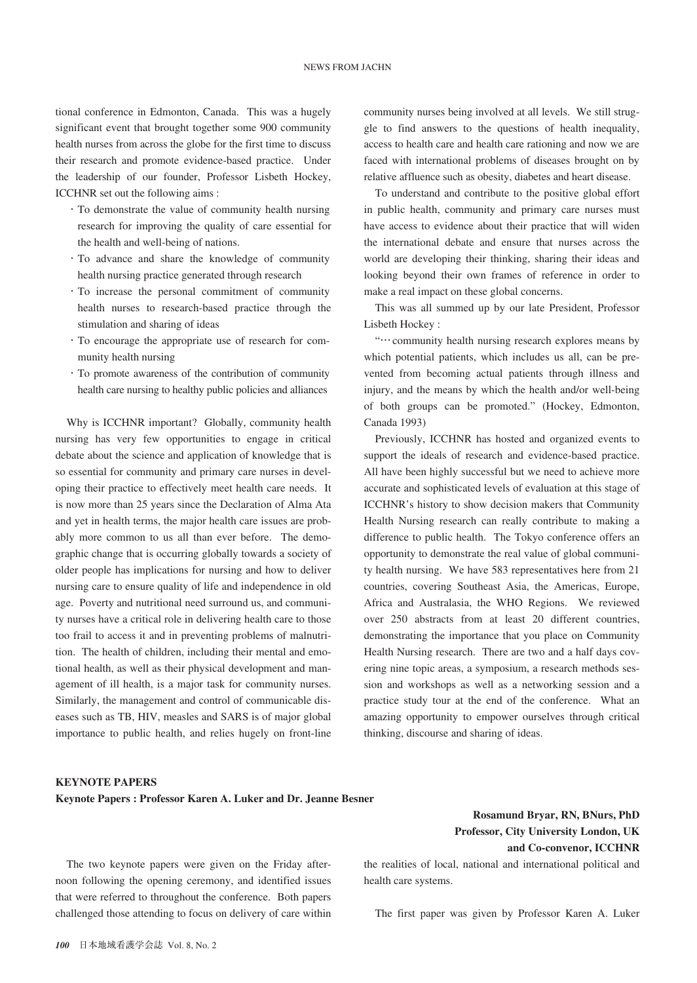tional conference in Edmonton, Canada. This was a hugely significant event that brought together some 900 community health nurses from across the globe for the first time to discuss their research and promote evidence-based practice. Under the leadership of our founder, Professor Lisbeth Hockey, ICCHNR set out the following aims :

- ・To demonstrate the value of community health nursing research for improving the quality of care essential for the health and well-being of nations.
- ・To advance and share the knowledge of community health nursing practice generated through research
- ・To increase the personal commitment of community health nurses to research-based practice through the stimulation and sharing of ideas
- ・To encourage the appropriate use of research for community health nursing
- ・To promote awareness of the contribution of community health care nursing to healthy public policies and alliances

Why is ICCHNR important? Globally, community health nursing has very few opportunities to engage in critical debate about the science and application of knowledge that is so essential for community and primary care nurses in developing their practice to effectively meet health care needs. It is now more than 25 years since the Declaration of Alma Ata and yet in health terms, the major health care issues are probably more common to us all than ever before. The demographic change that is occurring globally towards a society of older people has implications for nursing and how to deliver nursing care to ensure quality of life and independence in old age. Poverty and nutritional need surround us, and community nurses have a critical role in delivering health care to those too frail to access it and in preventing problems of malnutrition. The health of children, including their mental and emotional health, as well as their physical development and management of ill health, is a major task for community nurses. Similarly, the management and control of communicable diseases such as TB, HIV, measles and SARS is of major global importance to public health, and relies hugely on front-line community nurses being involved at all levels. We still struggle to find answers to the questions of health inequality, access to health care and health care rationing and now we are faced with international problems of diseases brought on by relative affluence such as obesity, diabetes and heart disease.

To understand and contribute to the positive global effort in public health, community and primary care nurses must have access to evidence about their practice that will widen the international debate and ensure that nurses across the world are developing their thinking, sharing their ideas and looking beyond their own frames of reference in order to make a real impact on these global concerns.

This was all summed up by our late President, Professor Lisbeth Hockey :

"…community health nursing research explores means by which potential patients, which includes us all, can be prevented from becoming actual patients through illness and injury, and the means by which the health and/or well-being of both groups can be promoted." (Hockey, Edmonton, Canada 1993)

Previously, ICCHNR has hosted and organized events to support the ideals of research and evidence-based practice. All have been highly successful but we need to achieve more accurate and sophisticated levels of evaluation at this stage of ICCHNR's history to show decision makers that Community Health Nursing research can really contribute to making a difference to public health. The Tokyo conference offers an opportunity to demonstrate the real value of global community health nursing. We have 583 representatives here from 21 countries, covering Southeast Asia, the Americas, Europe, Africa and Australasia, the WHO Regions. We reviewed over 250 abstracts from at least 20 different countries, demonstrating the importance that you place on Community Health Nursing research. There are two and a half days covering nine topic areas, a symposium, a research methods session and workshops as well as a networking session and a practice study tour at the end of the conference. What an amazing opportunity to empower ourselves through critical thinking, discourse and sharing of ideas.

#### **KEYNOTE PAPERS**

**Keynote Papers : Professor Karen A. Luker and Dr. Jeanne Besner**

## **Rosamund Bryar, RN, BNurs, PhD Professor, City University London, UK and Co-convenor, ICCHNR**

the realities of local, national and international political and health care systems.

The two keynote papers were given on the Friday afternoon following the opening ceremony, and identified issues that were referred to throughout the conference. Both papers challenged those attending to focus on delivery of care within

### The first paper was given by Professor Karen A. Luker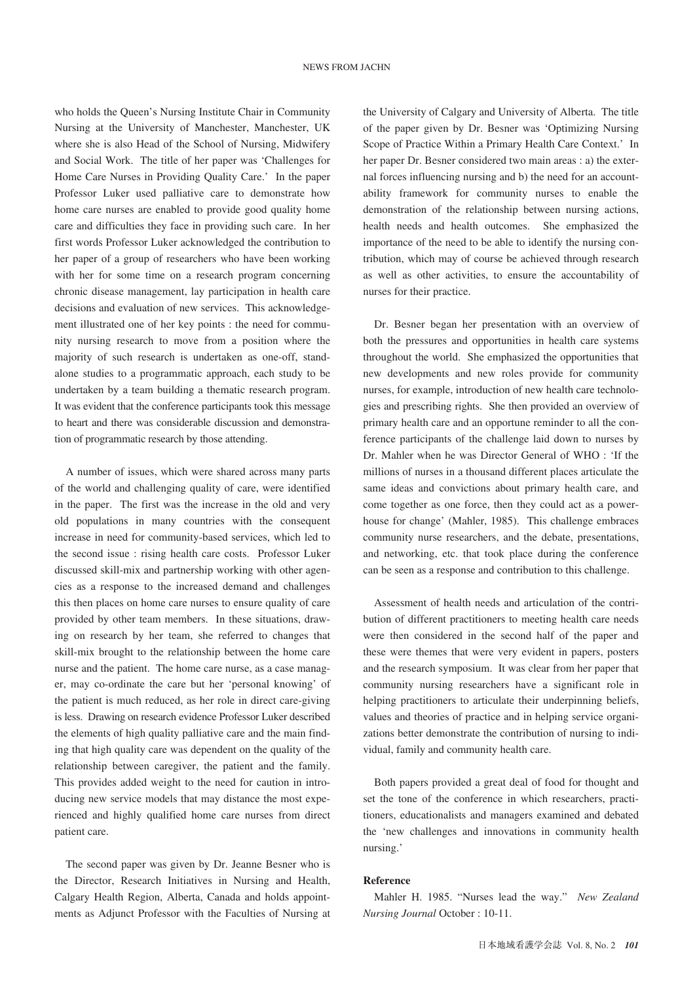who holds the Queen's Nursing Institute Chair in Community Nursing at the University of Manchester, Manchester, UK where she is also Head of the School of Nursing, Midwifery and Social Work. The title of her paper was 'Challenges for Home Care Nurses in Providing Quality Care.' In the paper Professor Luker used palliative care to demonstrate how home care nurses are enabled to provide good quality home care and difficulties they face in providing such care. In her first words Professor Luker acknowledged the contribution to her paper of a group of researchers who have been working with her for some time on a research program concerning chronic disease management, lay participation in health care decisions and evaluation of new services. This acknowledgement illustrated one of her key points : the need for community nursing research to move from a position where the majority of such research is undertaken as one-off, standalone studies to a programmatic approach, each study to be undertaken by a team building a thematic research program. It was evident that the conference participants took this message to heart and there was considerable discussion and demonstration of programmatic research by those attending.

A number of issues, which were shared across many parts of the world and challenging quality of care, were identified in the paper. The first was the increase in the old and very old populations in many countries with the consequent increase in need for community-based services, which led to the second issue : rising health care costs. Professor Luker discussed skill-mix and partnership working with other agencies as a response to the increased demand and challenges this then places on home care nurses to ensure quality of care provided by other team members. In these situations, drawing on research by her team, she referred to changes that skill-mix brought to the relationship between the home care nurse and the patient. The home care nurse, as a case manager, may co-ordinate the care but her 'personal knowing' of the patient is much reduced, as her role in direct care-giving is less. Drawing on research evidence Professor Luker described the elements of high quality palliative care and the main finding that high quality care was dependent on the quality of the relationship between caregiver, the patient and the family. This provides added weight to the need for caution in introducing new service models that may distance the most experienced and highly qualified home care nurses from direct patient care.

The second paper was given by Dr. Jeanne Besner who is the Director, Research Initiatives in Nursing and Health, Calgary Health Region, Alberta, Canada and holds appointments as Adjunct Professor with the Faculties of Nursing at the University of Calgary and University of Alberta. The title of the paper given by Dr. Besner was 'Optimizing Nursing Scope of Practice Within a Primary Health Care Context.' In her paper Dr. Besner considered two main areas : a) the external forces influencing nursing and b) the need for an accountability framework for community nurses to enable the demonstration of the relationship between nursing actions, health needs and health outcomes. She emphasized the importance of the need to be able to identify the nursing contribution, which may of course be achieved through research as well as other activities, to ensure the accountability of nurses for their practice.

Dr. Besner began her presentation with an overview of both the pressures and opportunities in health care systems throughout the world. She emphasized the opportunities that new developments and new roles provide for community nurses, for example, introduction of new health care technologies and prescribing rights. She then provided an overview of primary health care and an opportune reminder to all the conference participants of the challenge laid down to nurses by Dr. Mahler when he was Director General of WHO : 'If the millions of nurses in a thousand different places articulate the same ideas and convictions about primary health care, and come together as one force, then they could act as a powerhouse for change' (Mahler, 1985). This challenge embraces community nurse researchers, and the debate, presentations, and networking, etc. that took place during the conference can be seen as a response and contribution to this challenge.

Assessment of health needs and articulation of the contribution of different practitioners to meeting health care needs were then considered in the second half of the paper and these were themes that were very evident in papers, posters and the research symposium. It was clear from her paper that community nursing researchers have a significant role in helping practitioners to articulate their underpinning beliefs, values and theories of practice and in helping service organizations better demonstrate the contribution of nursing to individual, family and community health care.

Both papers provided a great deal of food for thought and set the tone of the conference in which researchers, practitioners, educationalists and managers examined and debated the 'new challenges and innovations in community health nursing.'

### **Reference**

Mahler H. 1985. "Nurses lead the way." *New Zealand Nursing Journal* October : 10-11.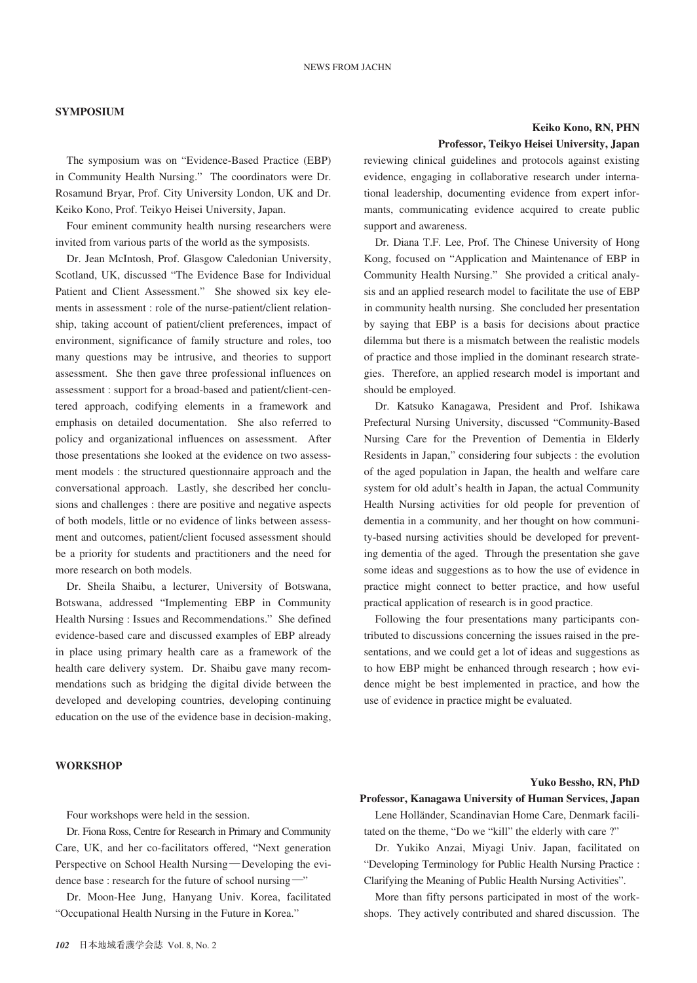### **SYMPOSIUM**

The symposium was on "Evidence-Based Practice (EBP) in Community Health Nursing." The coordinators were Dr. Rosamund Bryar, Prof. City University London, UK and Dr. Keiko Kono, Prof. Teikyo Heisei University, Japan.

Four eminent community health nursing researchers were invited from various parts of the world as the symposists.

Dr. Jean McIntosh, Prof. Glasgow Caledonian University, Scotland, UK, discussed "The Evidence Base for Individual Patient and Client Assessment." She showed six key elements in assessment : role of the nurse-patient/client relationship, taking account of patient/client preferences, impact of environment, significance of family structure and roles, too many questions may be intrusive, and theories to support assessment. She then gave three professional influences on assessment : support for a broad-based and patient/client-centered approach, codifying elements in a framework and emphasis on detailed documentation. She also referred to policy and organizational influences on assessment. After those presentations she looked at the evidence on two assessment models : the structured questionnaire approach and the conversational approach. Lastly, she described her conclusions and challenges : there are positive and negative aspects of both models, little or no evidence of links between assessment and outcomes, patient/client focused assessment should be a priority for students and practitioners and the need for more research on both models.

Dr. Sheila Shaibu, a lecturer, University of Botswana, Botswana, addressed "Implementing EBP in Community Health Nursing : Issues and Recommendations." She defined evidence-based care and discussed examples of EBP already in place using primary health care as a framework of the health care delivery system. Dr. Shaibu gave many recommendations such as bridging the digital divide between the developed and developing countries, developing continuing education on the use of the evidence base in decision-making,

#### **WORKSHOP**

Four workshops were held in the session.

Dr. Fiona Ross, Centre for Research in Primary and Community Care, UK, and her co-facilitators offered, "Next generation Perspective on School Health Nursing―Developing the evidence base : research for the future of school nursing―"

Dr. Moon-Hee Jung, Hanyang Univ. Korea, facilitated "Occupational Health Nursing in the Future in Korea."

# **Keiko Kono, RN, PHN**

### **Professor, Teikyo Heisei University, Japan**

reviewing clinical guidelines and protocols against existing evidence, engaging in collaborative research under international leadership, documenting evidence from expert informants, communicating evidence acquired to create public support and awareness.

Dr. Diana T.F. Lee, Prof. The Chinese University of Hong Kong, focused on "Application and Maintenance of EBP in Community Health Nursing." She provided a critical analysis and an applied research model to facilitate the use of EBP in community health nursing. She concluded her presentation by saying that EBP is a basis for decisions about practice dilemma but there is a mismatch between the realistic models of practice and those implied in the dominant research strategies. Therefore, an applied research model is important and should be employed.

Dr. Katsuko Kanagawa, President and Prof. Ishikawa Prefectural Nursing University, discussed "Community-Based Nursing Care for the Prevention of Dementia in Elderly Residents in Japan," considering four subjects : the evolution of the aged population in Japan, the health and welfare care system for old adult's health in Japan, the actual Community Health Nursing activities for old people for prevention of dementia in a community, and her thought on how community-based nursing activities should be developed for preventing dementia of the aged. Through the presentation she gave some ideas and suggestions as to how the use of evidence in practice might connect to better practice, and how useful practical application of research is in good practice.

Following the four presentations many participants contributed to discussions concerning the issues raised in the presentations, and we could get a lot of ideas and suggestions as to how EBP might be enhanced through research ; how evidence might be best implemented in practice, and how the use of evidence in practice might be evaluated.

#### **Yuko Bessho, RN, PhD**

# Lene Holländer, Scandinavian Home Care, Denmark facili-**Professor, Kanagawa University of Human Services, Japan**

tated on the theme, "Do we "kill" the elderly with care ?" Dr. Yukiko Anzai, Miyagi Univ. Japan, facilitated on "Developing Terminology for Public Health Nursing Practice : Clarifying the Meaning of Public Health Nursing Activities".

More than fifty persons participated in most of the workshops. They actively contributed and shared discussion. The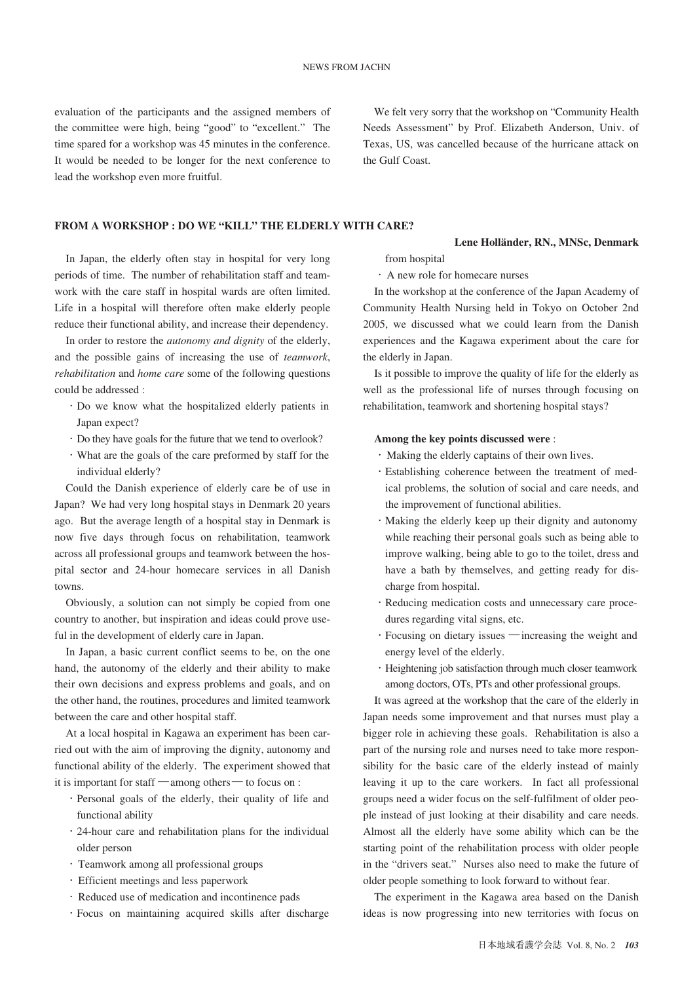evaluation of the participants and the assigned members of the committee were high, being "good" to "excellent." The time spared for a workshop was 45 minutes in the conference. It would be needed to be longer for the next conference to lead the workshop even more fruitful.

We felt very sorry that the workshop on "Community Health Needs Assessment" by Prof. Elizabeth Anderson, Univ. of Texas, US, was cancelled because of the hurricane attack on the Gulf Coast.

### **FROM A WORKSHOP : DO WE "KILL" THE ELDERLY WITH CARE?**

In Japan, the elderly often stay in hospital for very long periods of time. The number of rehabilitation staff and teamwork with the care staff in hospital wards are often limited. Life in a hospital will therefore often make elderly people reduce their functional ability, and increase their dependency.

In order to restore the *autonomy and dignity* of the elderly, and the possible gains of increasing the use of *teamwork*, *rehabilitation* and *home care* some of the following questions could be addressed :

- ・Do we know what the hospitalized elderly patients in Japan expect?
- ・Do they have goals for the future that we tend to overlook?
- ・What are the goals of the care preformed by staff for the individual elderly?

Could the Danish experience of elderly care be of use in Japan? We had very long hospital stays in Denmark 20 years ago. But the average length of a hospital stay in Denmark is now five days through focus on rehabilitation, teamwork across all professional groups and teamwork between the hospital sector and 24-hour homecare services in all Danish towns.

Obviously, a solution can not simply be copied from one country to another, but inspiration and ideas could prove useful in the development of elderly care in Japan.

In Japan, a basic current conflict seems to be, on the one hand, the autonomy of the elderly and their ability to make their own decisions and express problems and goals, and on the other hand, the routines, procedures and limited teamwork between the care and other hospital staff.

At a local hospital in Kagawa an experiment has been carried out with the aim of improving the dignity, autonomy and functional ability of the elderly. The experiment showed that it is important for staff ―among others― to focus on :

- ・Personal goals of the elderly, their quality of life and functional ability
- ・24-hour care and rehabilitation plans for the individual older person
- ・Teamwork among all professional groups
- ・Efficient meetings and less paperwork
- ・Reduced use of medication and incontinence pads
- ・Focus on maintaining acquired skills after discharge

from hospital

・A new role for homecare nurses

In the workshop at the conference of the Japan Academy of Community Health Nursing held in Tokyo on October 2nd 2005, we discussed what we could learn from the Danish experiences and the Kagawa experiment about the care for the elderly in Japan.

**Lene Holländer, RN., MNSc, Denmark**

Is it possible to improve the quality of life for the elderly as well as the professional life of nurses through focusing on rehabilitation, teamwork and shortening hospital stays?

### **Among the key points discussed were** :

- ・Making the elderly captains of their own lives.
- ・Establishing coherence between the treatment of medical problems, the solution of social and care needs, and the improvement of functional abilities.
- ・Making the elderly keep up their dignity and autonomy while reaching their personal goals such as being able to improve walking, being able to go to the toilet, dress and have a bath by themselves, and getting ready for discharge from hospital.
- ・Reducing medication costs and unnecessary care procedures regarding vital signs, etc.
- ・Focusing on dietary issues ―increasing the weight and energy level of the elderly.
- ・Heightening job satisfaction through much closer teamwork among doctors, OTs, PTs and other professional groups.

It was agreed at the workshop that the care of the elderly in Japan needs some improvement and that nurses must play a bigger role in achieving these goals. Rehabilitation is also a part of the nursing role and nurses need to take more responsibility for the basic care of the elderly instead of mainly leaving it up to the care workers. In fact all professional groups need a wider focus on the self-fulfilment of older people instead of just looking at their disability and care needs. Almost all the elderly have some ability which can be the starting point of the rehabilitation process with older people in the "drivers seat." Nurses also need to make the future of older people something to look forward to without fear.

The experiment in the Kagawa area based on the Danish ideas is now progressing into new territories with focus on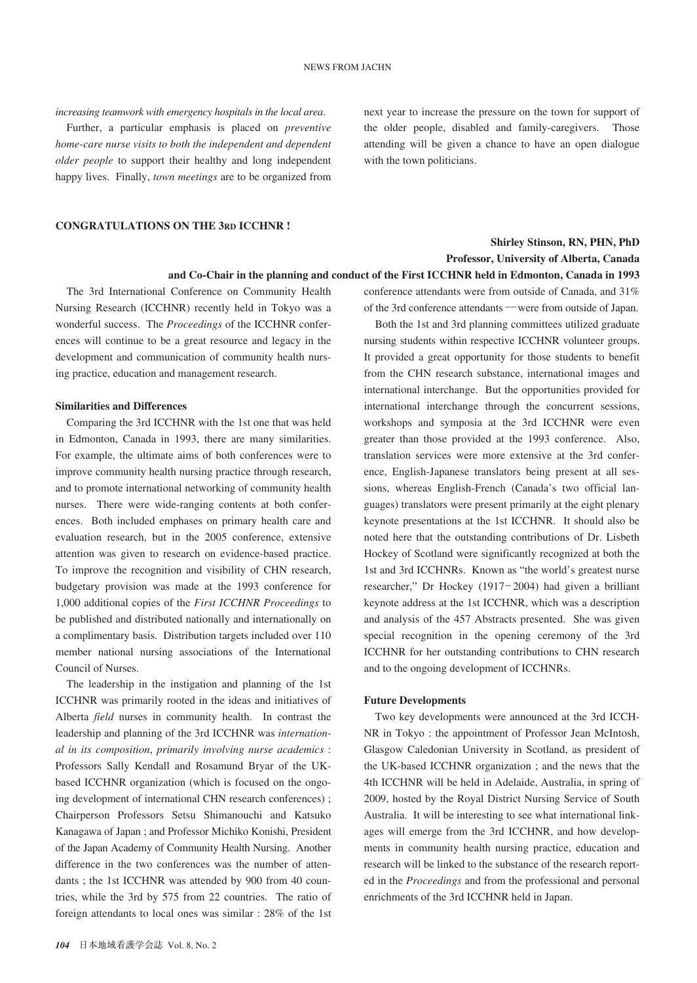*increasing teamwork with emergency hospitals in the local area*.

Further, a particular emphasis is placed on *preventive home-care nurse visits to both the independent and dependent older people* to support their healthy and long independent happy lives. Finally, *town meetings* are to be organized from next year to increase the pressure on the town for support of the older people, disabled and family-caregivers. Those attending will be given a chance to have an open dialogue with the town politicians.

### **CONGRATULATIONS ON THE 3RD ICCHNR !**

## **Shirley Stinson, RN, PHN, PhD Professor, University of Alberta, Canada and Co-Chair in the planning and conduct of the First ICCHNR held in Edmonton, Canada in 1993**

The 3rd International Conference on Community Health Nursing Research (ICCHNR) recently held in Tokyo was a wonderful success. The *Proceedings* of the ICCHNR conferences will continue to be a great resource and legacy in the development and communication of community health nursing practice, education and management research.

#### **Similarities and Differences**

Comparing the 3rd ICCHNR with the 1st one that was held in Edmonton, Canada in 1993, there are many similarities. For example, the ultimate aims of both conferences were to improve community health nursing practice through research, and to promote international networking of community health nurses. There were wide-ranging contents at both conferences. Both included emphases on primary health care and evaluation research, but in the 2005 conference, extensive attention was given to research on evidence-based practice. To improve the recognition and visibility of CHN research, budgetary provision was made at the 1993 conference for 1,000 additional copies of the *First ICCHNR Proceedings* to be published and distributed nationally and internationally on a complimentary basis. Distribution targets included over 110 member national nursing associations of the International Council of Nurses.

The leadership in the instigation and planning of the 1st ICCHNR was primarily rooted in the ideas and initiatives of Alberta *field* nurses in community health. In contrast the leadership and planning of the 3rd ICCHNR was *international in its composition*, *primarily involving nurse academics* : Professors Sally Kendall and Rosamund Bryar of the UKbased ICCHNR organization (which is focused on the ongoing development of international CHN research conferences) ; Chairperson Professors Setsu Shimanouchi and Katsuko Kanagawa of Japan ; and Professor Michiko Konishi, President of the Japan Academy of Community Health Nursing. Another difference in the two conferences was the number of attendants ; the 1st ICCHNR was attended by 900 from 40 countries, while the 3rd by 575 from 22 countries. The ratio of foreign attendants to local ones was similar : 28% of the 1st

conference attendants were from outside of Canada, and 31% of the 3rd conference attendants ―were from outside of Japan.

Both the 1st and 3rd planning committees utilized graduate nursing students within respective ICCHNR volunteer groups. It provided a great opportunity for those students to benefit from the CHN research substance, international images and international interchange. But the opportunities provided for international interchange through the concurrent sessions, workshops and symposia at the 3rd ICCHNR were even greater than those provided at the 1993 conference. Also, translation services were more extensive at the 3rd conference, English-Japanese translators being present at all sessions, whereas English-French (Canada's two official languages) translators were present primarily at the eight plenary keynote presentations at the 1st ICCHNR. It should also be noted here that the outstanding contributions of Dr. Lisbeth Hockey of Scotland were significantly recognized at both the 1st and 3rd ICCHNRs. Known as "the world's greatest nurse researcher," Dr Hockey (1917― 2004) had given a brilliant keynote address at the 1st ICCHNR, which was a description and analysis of the 457 Abstracts presented. She was given special recognition in the opening ceremony of the 3rd ICCHNR for her outstanding contributions to CHN research and to the ongoing development of ICCHNRs.

### **Future Developments**

Two key developments were announced at the 3rd ICCH-NR in Tokyo : the appointment of Professor Jean McIntosh, Glasgow Caledonian University in Scotland, as president of the UK-based ICCHNR organization ; and the news that the 4th ICCHNR will be held in Adelaide, Australia, in spring of 2009, hosted by the Royal District Nursing Service of South Australia. It will be interesting to see what international linkages will emerge from the 3rd ICCHNR, and how developments in community health nursing practice, education and research will be linked to the substance of the research reported in the *Proceedings* and from the professional and personal enrichments of the 3rd ICCHNR held in Japan.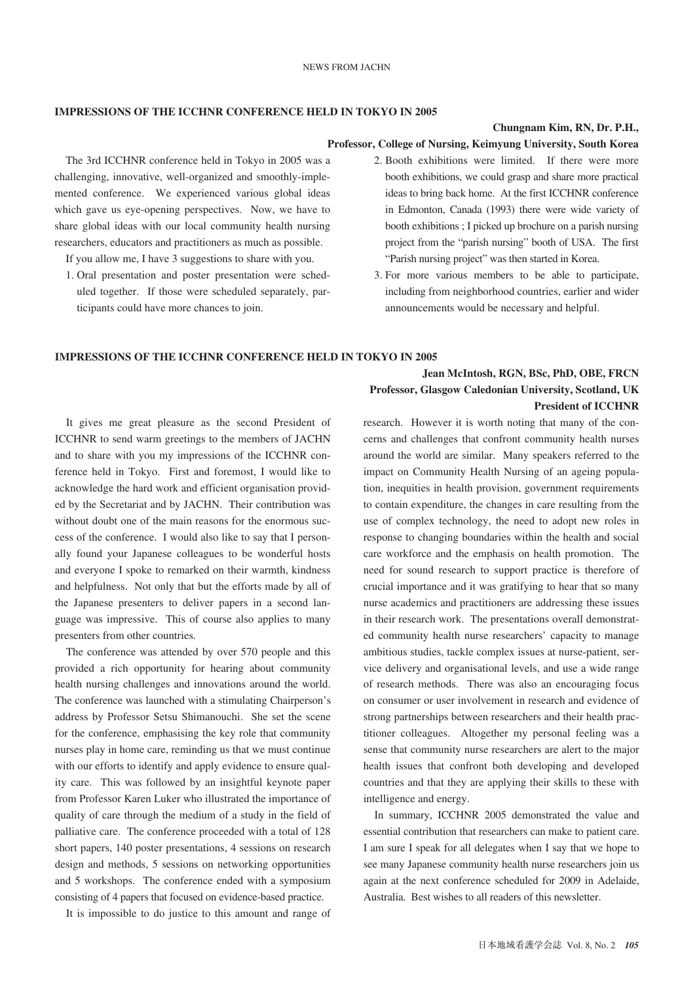### **IMPRESSIONS OF THE ICCHNR CONFERENCE HELD IN TOKYO IN 2005**

### **Chungnam Kim, RN, Dr. P.H.,**

## **Professor, College of Nursing, Keimyung University, South Korea**

The 3rd ICCHNR conference held in Tokyo in 2005 was a challenging, innovative, well-organized and smoothly-implemented conference. We experienced various global ideas which gave us eye-opening perspectives. Now, we have to share global ideas with our local community health nursing researchers, educators and practitioners as much as possible.

If you allow me, I have 3 suggestions to share with you.

- 1. Oral presentation and poster presentation were scheduled together. If those were scheduled separately, participants could have more chances to join.
- 2. Booth exhibitions were limited. If there were more booth exhibitions, we could grasp and share more practical ideas to bring back home. At the first ICCHNR conference in Edmonton, Canada (1993) there were wide variety of booth exhibitions ; I picked up brochure on a parish nursing project from the "parish nursing" booth of USA. The first "Parish nursing project" was then started in Korea.
- 3. For more various members to be able to participate, including from neighborhood countries, earlier and wider announcements would be necessary and helpful.

#### **IMPRESSIONS OF THE ICCHNR CONFERENCE HELD IN TOKYO IN 2005**

## **Jean McIntosh, RGN, BSc, PhD, OBE, FRCN Professor, Glasgow Caledonian University, Scotland, UK President of ICCHNR**

It gives me great pleasure as the second President of ICCHNR to send warm greetings to the members of JACHN and to share with you my impressions of the ICCHNR conference held in Tokyo. First and foremost, I would like to acknowledge the hard work and efficient organisation provided by the Secretariat and by JACHN. Their contribution was without doubt one of the main reasons for the enormous success of the conference. I would also like to say that I personally found your Japanese colleagues to be wonderful hosts and everyone I spoke to remarked on their warmth, kindness and helpfulness. Not only that but the efforts made by all of the Japanese presenters to deliver papers in a second language was impressive. This of course also applies to many presenters from other countries.

The conference was attended by over 570 people and this provided a rich opportunity for hearing about community health nursing challenges and innovations around the world. The conference was launched with a stimulating Chairperson's address by Professor Setsu Shimanouchi. She set the scene for the conference, emphasising the key role that community nurses play in home care, reminding us that we must continue with our efforts to identify and apply evidence to ensure quality care. This was followed by an insightful keynote paper from Professor Karen Luker who illustrated the importance of quality of care through the medium of a study in the field of palliative care. The conference proceeded with a total of 128 short papers, 140 poster presentations, 4 sessions on research design and methods, 5 sessions on networking opportunities and 5 workshops. The conference ended with a symposium consisting of 4 papers that focused on evidence-based practice.

It is impossible to do justice to this amount and range of

research. However it is worth noting that many of the concerns and challenges that confront community health nurses around the world are similar. Many speakers referred to the impact on Community Health Nursing of an ageing population, inequities in health provision, government requirements to contain expenditure, the changes in care resulting from the use of complex technology, the need to adopt new roles in response to changing boundaries within the health and social care workforce and the emphasis on health promotion. The need for sound research to support practice is therefore of crucial importance and it was gratifying to hear that so many nurse academics and practitioners are addressing these issues in their research work. The presentations overall demonstrated community health nurse researchers' capacity to manage ambitious studies, tackle complex issues at nurse-patient, service delivery and organisational levels, and use a wide range of research methods. There was also an encouraging focus on consumer or user involvement in research and evidence of strong partnerships between researchers and their health practitioner colleagues. Altogether my personal feeling was a sense that community nurse researchers are alert to the major health issues that confront both developing and developed countries and that they are applying their skills to these with intelligence and energy.

In summary, ICCHNR 2005 demonstrated the value and essential contribution that researchers can make to patient care. I am sure I speak for all delegates when I say that we hope to see many Japanese community health nurse researchers join us again at the next conference scheduled for 2009 in Adelaide, Australia. Best wishes to all readers of this newsletter.